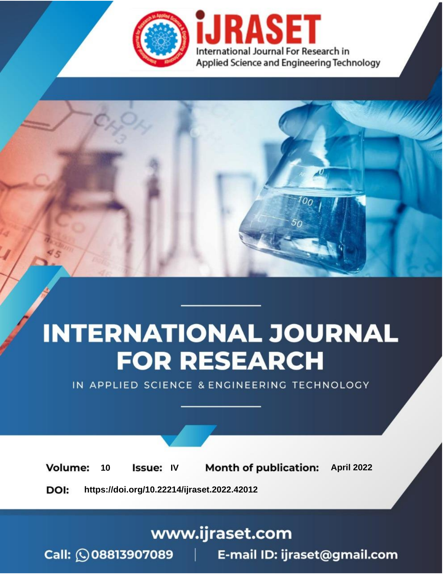

# **INTERNATIONAL JOURNAL FOR RESEARCH**

IN APPLIED SCIENCE & ENGINEERING TECHNOLOGY

10 **Issue: IV Month of publication:** April 2022 **Volume:** 

**https://doi.org/10.22214/ijraset.2022.42012**DOI:

www.ijraset.com

Call: 008813907089 | E-mail ID: ijraset@gmail.com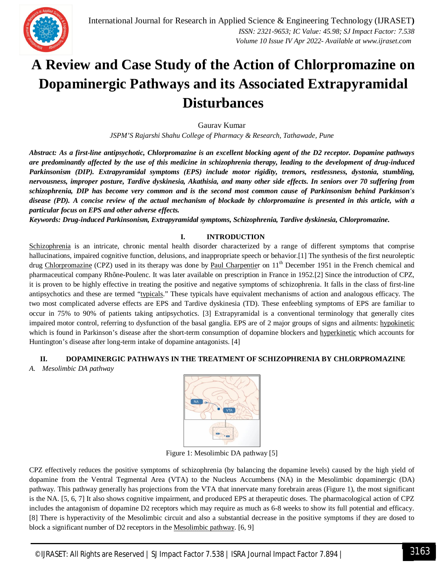

### **A Review and Case Study of the Action of Chlorpromazine on Dopaminergic Pathways and its Associated Extrapyramidal Disturbances**

Gaurav Kumar

*JSPM'S Rajarshi Shahu College of Pharmacy & Research, Tathawade, Pune*

*Abstract: As a first-line antipsychotic, Chlorpromazine is an excellent blocking agent of the D2 receptor. Dopamine pathways are predominantly affected by the use of this medicine in schizophrenia therapy, leading to the development of drug-induced Parkinsonism (DIP). Extrapyramidal symptoms (EPS) include motor rigidity, tremors, restlessness, dystonia, stumbling, nervousness, improper posture, Tardive dyskinesia, Akathisia, and many other side effects. In seniors over 70 suffering from schizophrenia, DIP has become very common and is the second most common cause of Parkinsonism behind Parkinson's disease (PD). A concise review of the actual mechanism of blockade by chlorpromazine is presented in this article, with a particular focus on EPS and other adverse effects.*

*Keywords: Drug-induced Parkinsonism, Extrapyramidal symptoms, Schizophrenia, Tardive dyskinesia, Chlorpromazine.*

#### **I. INTRODUCTION**

Schizophrenia is an intricate, chronic mental health disorder characterized by a range of different symptoms that comprise hallucinations, impaired cognitive function, delusions, and inappropriate speech or behavior.[1] The synthesis of the first neuroleptic drug Chlorpromazine (CPZ) used in its therapy was done by Paul Charpentier on 11<sup>th</sup> December 1951 in the French chemical and pharmaceutical company Rhône-Poulenc. It was later available on prescription in France in 1952.[2] Since the introduction of CPZ, it is proven to be highly effective in treating the positive and negative symptoms of schizophrenia. It falls in the class of first-line antipsychotics and these are termed "typicals." These typicals have equivalent mechanisms of action and analogous efficacy. The two most complicated adverse effects are EPS and Tardive dyskinesia (TD). These enfeebling symptoms of EPS are familiar to occur in 75% to 90% of patients taking antipsychotics. [3] Extrapyramidal is a conventional terminology that generally cites impaired motor control, referring to dysfunction of the basal ganglia. EPS are of 2 major groups of signs and ailments: hypokinetic which is found in Parkinson's disease after the short-term consumption of dopamine blockers and hyperkinetic which accounts for Huntington's disease after long-term intake of dopamine antagonists. [4]

#### **II. DOPAMINERGIC PATHWAYS IN THE TREATMENT OF SCHIZOPHRENIA BY CHLORPROMAZINE**

*A. Mesolimbic DA pathway*



Figure 1: Mesolimbic DA pathway [5]

CPZ effectively reduces the positive symptoms of schizophrenia (by balancing the dopamine levels) caused by the high yield of dopamine from the Ventral Tegmental Area (VTA) to the Nucleus Accumbens (NA) in the Mesolimbic dopaminergic (DA) pathway. This pathway generally has projections from the VTA that innervate many forebrain areas (Figure 1), the most significant is the NA. [5, 6, 7] It also shows cognitive impairment, and produced EPS at therapeutic doses. The pharmacological action of CPZ includes the antagonism of dopamine D2 receptors which may require as much as 6-8 weeks to show its full potential and efficacy. [8] There is hyperactivity of the Mesolimbic circuit and also a substantial decrease in the positive symptoms if they are dosed to block a significant number of D2 receptors in the Mesolimbic pathway. [6, 9]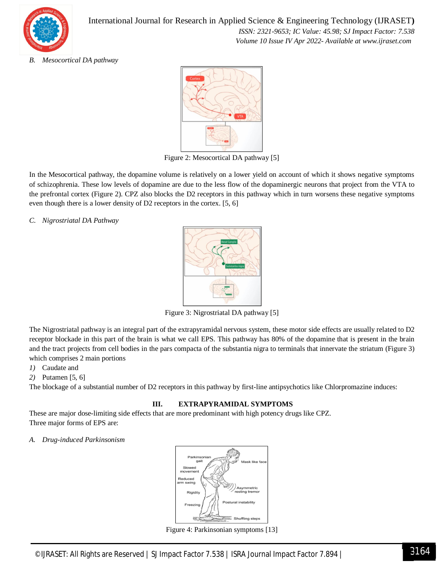

International Journal for Research in Applied Science & Engineering Technology (IJRASET**)**  *ISSN: 2321-9653; IC Value: 45.98; SJ Impact Factor: 7.538 Volume 10 Issue IV Apr 2022- Available at www.ijraset.com*

#### *B. Mesocortical DA pathway*



Figure 2: Mesocortical DA pathway [5]

In the Mesocortical pathway, the dopamine volume is relatively on a lower yield on account of which it shows negative symptoms of schizophrenia. These low levels of dopamine are due to the less flow of the dopaminergic neurons that project from the VTA to the prefrontal cortex (Figure 2). CPZ also blocks the D2 receptors in this pathway which in turn worsens these negative symptoms even though there is a lower density of D2 receptors in the cortex. [5, 6]

*C. Nigrostriatal DA Pathway*



Figure 3: Nigrostriatal DA pathway [5]

The Nigrostriatal pathway is an integral part of the extrapyramidal nervous system, these motor side effects are usually related to D2 receptor blockade in this part of the brain is what we call EPS. This pathway has 80% of the dopamine that is present in the brain and the tract projects from cell bodies in the pars compacta of the substantia nigra to terminals that innervate the striatum (Figure 3) which comprises 2 main portions

*1)* Caudate and

*2)* Putamen [5, 6]

The blockage of a substantial number of D2 receptors in this pathway by first-line antipsychotics like Chlorpromazine induces:

#### **III. EXTRAPYRAMIDAL SYMPTOMS**

These are major dose-limiting side effects that are more predominant with high potency drugs like CPZ. Three major forms of EPS are:

#### *A. Drug-induced Parkinsonism*



Figure 4: Parkinsonian symptoms [13]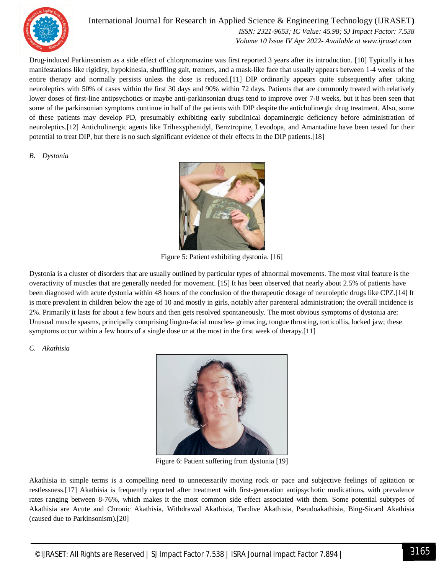

#### International Journal for Research in Applied Science & Engineering Technology (IJRASET**)**

 *ISSN: 2321-9653; IC Value: 45.98; SJ Impact Factor: 7.538 Volume 10 Issue IV Apr 2022- Available at www.ijraset.com*

Drug-induced Parkinsonism as a side effect of chlorpromazine was first reported 3 years after its introduction. [10] Typically it has manifestations like rigidity, hypokinesia, shuffling gait, tremors, and a mask-like face that usually appears between 1-4 weeks of the entire therapy and normally persists unless the dose is reduced.[11] DIP ordinarily appears quite subsequently after taking neuroleptics with 50% of cases within the first 30 days and 90% within 72 days. Patients that are commonly treated with relatively lower doses of first-line antipsychotics or maybe anti-parkinsonian drugs tend to improve over 7-8 weeks, but it has been seen that some of the parkinsonian symptoms continue in half of the patients with DIP despite the anticholinergic drug treatment. Also, some of these patients may develop PD, presumably exhibiting early subclinical dopaminergic deficiency before administration of neuroleptics.[12] Anticholinergic agents like Trihexyphenidyl, Benztropine, Levodopa, and Amantadine have been tested for their potential to treat DIP, but there is no such significant evidence of their effects in the DIP patients.[18]

#### *B. Dystonia*



Figure 5: Patient exhibiting dystonia. [16]

Dystonia is a cluster of disorders that are usually outlined by particular types of abnormal movements. The most vital feature is the overactivity of muscles that are generally needed for movement. [15] It has been observed that nearly about 2.5% of patients have been diagnosed with acute dystonia within 48 hours of the conclusion of the therapeutic dosage of neuroleptic drugs like CPZ.[14] It is more prevalent in children below the age of 10 and mostly in girls, notably after parenteral administration; the overall incidence is 2%. Primarily it lasts for about a few hours and then gets resolved spontaneously. The most obvious symptoms of dystonia are: Unusual muscle spasms, principally comprising linguo-facial muscles- grimacing, tongue thrusting, torticollis, locked jaw; these symptoms occur within a few hours of a single dose or at the most in the first week of therapy.[11]

#### *C. Akathisia*



Figure 6: Patient suffering from dystonia [19]

Akathisia in simple terms is a compelling need to unnecessarily moving rock or pace and subjective feelings of agitation or restlessness.[17] Akathisia is frequently reported after treatment with first-generation antipsychotic medications, with prevalence rates ranging between 8-76%, which makes it the most common side effect associated with them. Some potential subtypes of Akathisia are Acute and Chronic Akathisia, Withdrawal Akathisia, Tardive Akathisia, Pseudoakathisia, Bing-Sicard Akathisia (caused due to Parkinsonism).[20]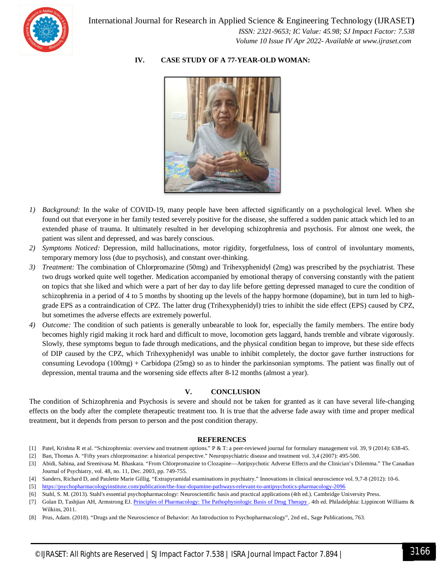

#### **IV. CASE STUDY OF A 77-YEAR-OLD WOMAN:**



- *1) Background:* In the wake of COVID-19, many people have been affected significantly on a psychological level. When she found out that everyone in her family tested severely positive for the disease, she suffered a sudden panic attack which led to an extended phase of trauma. It ultimately resulted in her developing schizophrenia and psychosis. For almost one week, the patient was silent and depressed, and was barely conscious.
- *2) Symptoms Noticed:* Depression, mild hallucinations, motor rigidity, forgetfulness, loss of control of involuntary moments, temporary memory loss (due to psychosis), and constant over-thinking.
- *3) Treatment:* The combination of Chlorpromazine (50mg) and Trihexyphenidyl (2mg) was prescribed by the psychiatrist. These two drugs worked quite well together. Medication accompanied by emotional therapy of conversing constantly with the patient on topics that she liked and which were a part of her day to day life before getting depressed managed to cure the condition of schizophrenia in a period of 4 to 5 months by shooting up the levels of the happy hormone (dopamine), but in turn led to highgrade EPS as a contraindication of CPZ. The latter drug (Trihexyphenidyl) tries to inhibit the side effect (EPS) caused by CPZ, but sometimes the adverse effects are extremely powerful.
- *4) Outcome:* The condition of such patients is generally unbearable to look for, especially the family members. The entire body becomes highly rigid making it rock hard and difficult to move, locomotion gets laggard, hands tremble and vibrate vigorously. Slowly, these symptoms begun to fade through medications, and the physical condition began to improve, but these side effects of DIP caused by the CPZ, which Trihexyphenidyl was unable to inhibit completely, the doctor gave further instructions for consuming Levodopa (100mg) + Carbidopa (25mg) so as to hinder the parkinsonian symptoms. The patient was finally out of depression, mental trauma and the worsening side effects after 8-12 months (almost a year).

#### **V. CONCLUSION**

The condition of Schizophrenia and Psychosis is severe and should not be taken for granted as it can have several life-changing effects on the body after the complete therapeutic treatment too. It is true that the adverse fade away with time and proper medical treatment, but it depends from person to person and the post condition therapy.

#### **REFERENCES**

- [1] Patel, Krishna R et al. "Schizophrenia: overview and treatment options." P & T: a peer-reviewed journal for formulary management vol. 39, 9 (2014): 638-45.
- [2] Ban, Thomas A. "Fifty years chlorpromazine: a historical perspective." Neuropsychiatric disease and treatment vol. 3,4 (2007): 495-500.
- [3] Abidi, Sabina, and Sreenivasa M. Bhaskara. "From Chlorpromazine to Clozapine—Antipsychotic Adverse Effects and the Clinician's Dilemma." The Canadian Journal of Psychiatry, vol. 48, no. 11, Dec. 2003, pp. 749-755.
- [4] Sanders, Richard D, and Paulette Marie Gillig. "Extrapyramidal examinations in psychiatry." Innovations in clinical neuroscience vol. 9,7-8 (2012): 10-6.
- [5] https://psychopharmacologyinstitute.com/publication/the-four-dopamine-pathways-relevant-to-antipsychotics-pharmacology-2096
- [6] Stahl, S. M. (2013). Stahl's essential psychopharmacology: Neuroscientific basis and practical applications (4th ed.). Cambridge University Press.
- [7] Golan D, Tashjian AH, Armstrong EJ. Principles of Pharmacology: The Pathophysiologic Basis of Drug Therapy . 4th ed. Philadelphia: Lippincott Williams & Wilkins, 2011.
- [8] Prus, Adam. (2018). "Drugs and the Neuroscience of Behavior: An Introduction to Psychopharmacology", 2nd ed., Sage Publications, 763.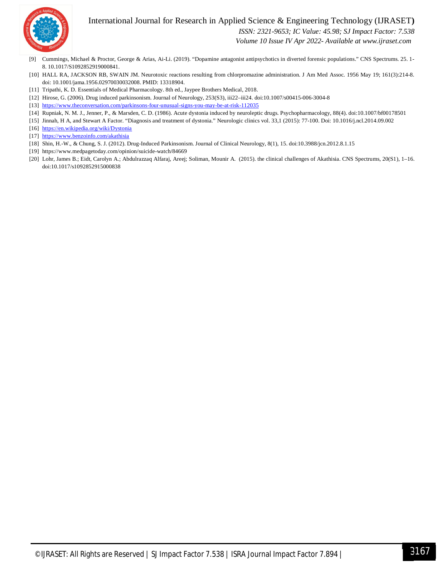

#### International Journal for Research in Applied Science & Engineering Technology (IJRASET**)**

 *ISSN: 2321-9653; IC Value: 45.98; SJ Impact Factor: 7.538*

 *Volume 10 Issue IV Apr 2022- Available at www.ijraset.com*

- [9] Cummings, Michael & Proctor, George & Arias, Ai-Li. (2019). "Dopamine antagonist antipsychotics in diverted forensic populations." CNS Spectrums. 25. 1- 8. 10.1017/S1092852919000841.
- [10] HALL RA, JACKSON RB, SWAIN JM. Neurotoxic reactions resulting from chlorpromazine administration. J Am Med Assoc. 1956 May 19; 161(3):214-8. doi: 10.1001/jama.1956.02970030032008. PMID: 13318904.
- [11] Tripathi, K. D. Essentials of Medical Pharmacology. 8th ed., Jaypee Brothers Medical, 2018.
- [12] Hirose, G. (2006). Drug induced parkinsonism. Journal of Neurology, 253(S3), iii22–iii24. doi:10.1007/s00415-006-3004-8
- [13] https://www.theconversation.com/parkinsons-four-unusual-signs-you-may-be-at-risk-112035
- [14] Rupniak, N. M. J., Jenner, P., & Marsden, C. D. (1986). Acute dystonia induced by neuroleptic drugs. Psychopharmacology, 88(4). doi:10.1007/bf00178501
- [15] Jinnah, H A, and Stewart A Factor. "Diagnosis and treatment of dystonia." Neurologic clinics vol. 33,1 (2015): 77-100. Doi: 10.1016/j.ncl.2014.09.002
- [16] https://en.wikipedia.org/wiki/Dystonia
- [17] https://www.benzoinfo.com/akathisia
- [18] Shin, H.-W., & Chung, S. J. (2012). Drug-Induced Parkinsonism. Journal of Clinical Neurology, 8(1), 15. doi:10.3988/jcn.2012.8.1.15
- [19] https://www.medpagetoday.com/opinion/suicide-watch/84669
- [20] Lohr, James B.; Eidt, Carolyn A.; Abdulrazzaq Alfaraj, Areej; Soliman, Mounir A. (2015). the clinical challenges of Akathisia. CNS Spectrums, 20(S1), 1–16. doi:10.1017/s1092852915000838